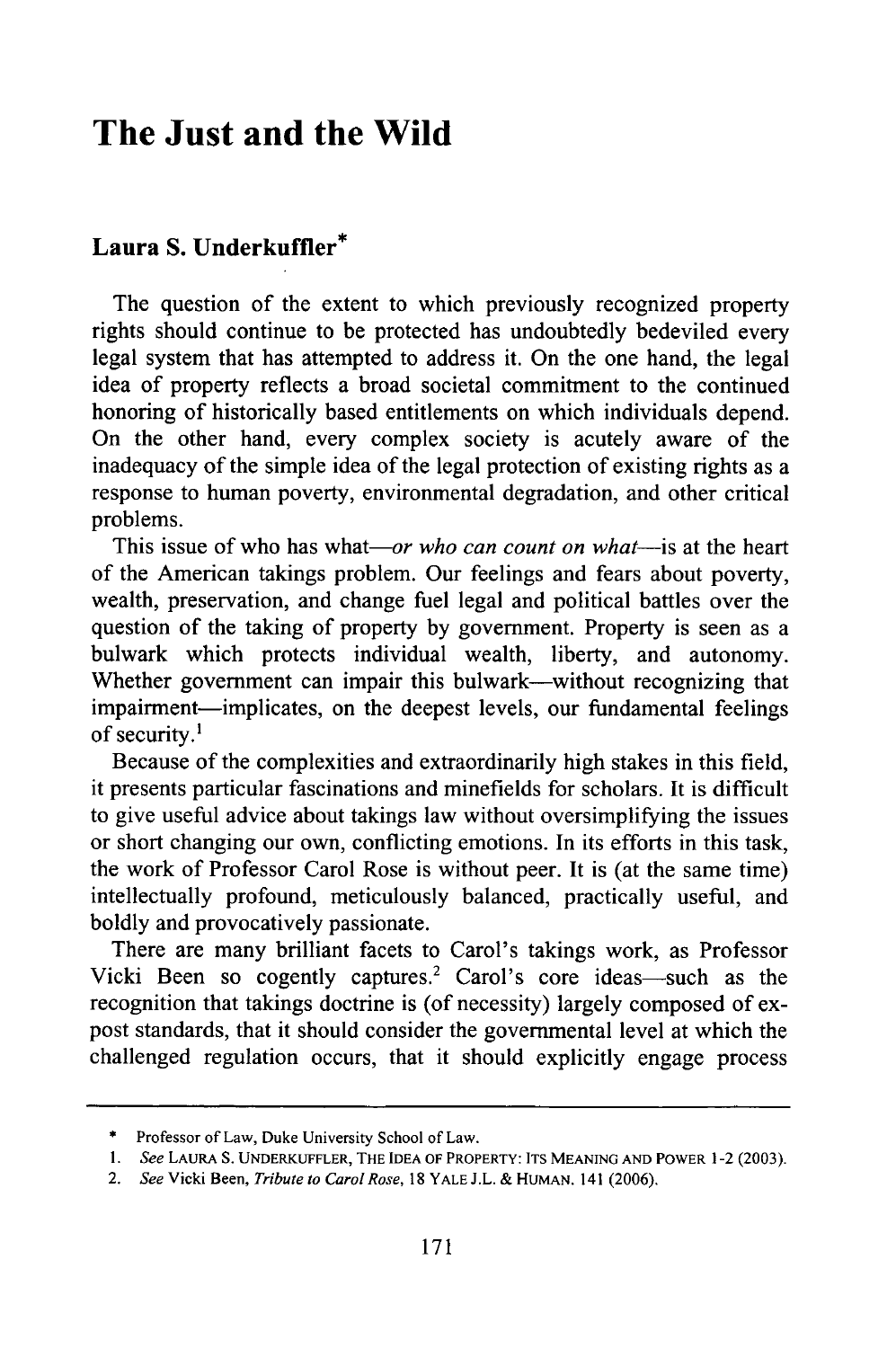## **The Just and the Wild**

## **Laura S. Underkuffler\***

The question of the extent to which previously recognized property rights should continue to be protected has undoubtedly bedeviled every legal system that has attempted to address it. On the one hand, the legal idea of property reflects a broad societal commitment to the continued honoring of historically based entitlements on which individuals depend. On the other hand, every complex society is acutely aware of the inadequacy of the simple idea of the legal protection of existing rights as a response to human poverty, environmental degradation, and other critical problems.

This issue of who has what—or *who can count on what*—is at the heart of the American takings problem. Our feelings and fears about poverty, wealth, preservation, and change fuel legal and political battles over the question of the taking of property by government. Property is seen as a bulwark which protects individual wealth, liberty, and autonomy. Whether government can impair this bulwark—without recognizing that impairment-implicates, on the deepest levels, our fundamental feelings of security.<sup>1</sup>

Because of the complexities and extraordinarily high stakes in this field, it presents particular fascinations and minefields for scholars. It is difficult to give useful advice about takings law without oversimplifying the issues or short changing our own, conflicting emotions. In its efforts in this task, the work of Professor Carol Rose is without peer. It is (at the same time) intellectually profound, meticulously balanced, practically useful, and boldly and provocatively passionate.

There are many brilliant facets to Carol's takings work, as Professor Vicki Been so cogently captures.<sup>2</sup> Carol's core ideas—such as the recognition that takings doctrine is (of necessity) largely composed of expost standards, that it should consider the governmental level at which the challenged regulation occurs, that it should explicitly engage process

<sup>\*</sup> Professor of Law, Duke University School of Law.

*<sup>1.</sup> See* **LAURA S.** UNDERKUFFLER, THE **IDEA** OF PROPERTY: **ITS MEANING AND** POWER 1-2 (2003).

*<sup>2.</sup> See* Vicki Been, *Tribute to Carol Rose,* 18 YALE J.L.& **HUMAN.** 141 (2006).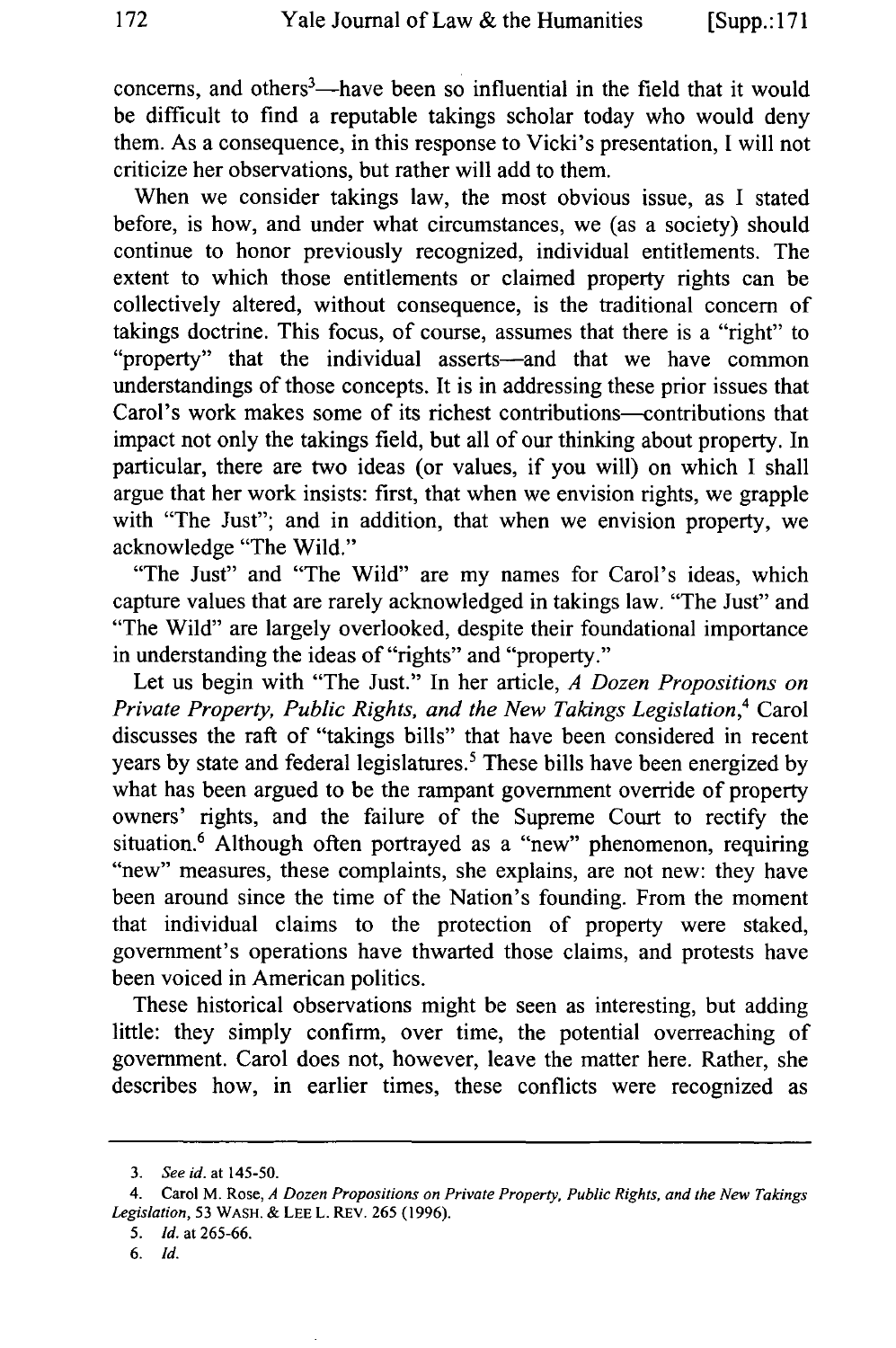concerns, and others<sup>3</sup>—have been so influential in the field that it would be difficult to find a reputable takings scholar today who would deny them. As a consequence, in this response to Vicki's presentation, I will not criticize her observations, but rather will add to them.

When we consider takings law, the most obvious issue, as I stated before, is how, and under what circumstances, we (as a society) should continue to honor previously recognized, individual entitlements. The extent to which those entitlements or claimed property rights can be collectively altered, without consequence, is the traditional concern of takings doctrine. This focus, of course, assumes that there is a "right" to "property" that the individual asserts—and that we have common understandings of those concepts. It is in addressing these prior issues that Carol's work makes some of its richest contributions-contributions that impact not only the takings field, but all of our thinking about property. In particular, there are two ideas (or values, if you will) on which I shall argue that her work insists: first, that when we envision rights, we grapple with "The Just"; and in addition, that when we envision property, we acknowledge "The Wild."

"The Just" and "The Wild" are my names for Carol's ideas, which capture values that are rarely acknowledged in takings law. "The Just" and "The Wild" are largely overlooked, despite their foundational importance in understanding the ideas of "rights" and "property."

Let us begin with "The Just." In her article, *A Dozen Propositions on Private Property, Public Rights, and the New Takings Legislation,4* Carol discusses the raft of "takings bills" that have been considered in recent years by state and federal legislatures.<sup>5</sup> These bills have been energized by what has been argued to be the rampant government override of property owners' rights, and the failure of the Supreme Court to rectify the situation.<sup>6</sup> Although often portrayed as a "new" phenomenon, requiring "new" measures, these complaints, she explains, are not new: they have been around since the time of the Nation's founding. From the moment that individual claims to the protection of property were staked, government's operations have thwarted those claims, and protests have been voiced in American politics.

These historical observations might be seen as interesting, but adding little: they simply confirm, over time, the potential overreaching of government. Carol does not, however, leave the matter here. Rather, she describes how, in earlier times, these conflicts were recognized as

*<sup>3.</sup> See id.* at 145-50.

<sup>4.</sup> Carol M. Rose, *A Dozen Propositions on Private Property, Public Rights, and the New Takings Legislation,* 53 WASH. **&** LEE L. REV. 265 (1996).

*<sup>5.</sup> Id.* at 265-66.

*<sup>6.</sup> Id.*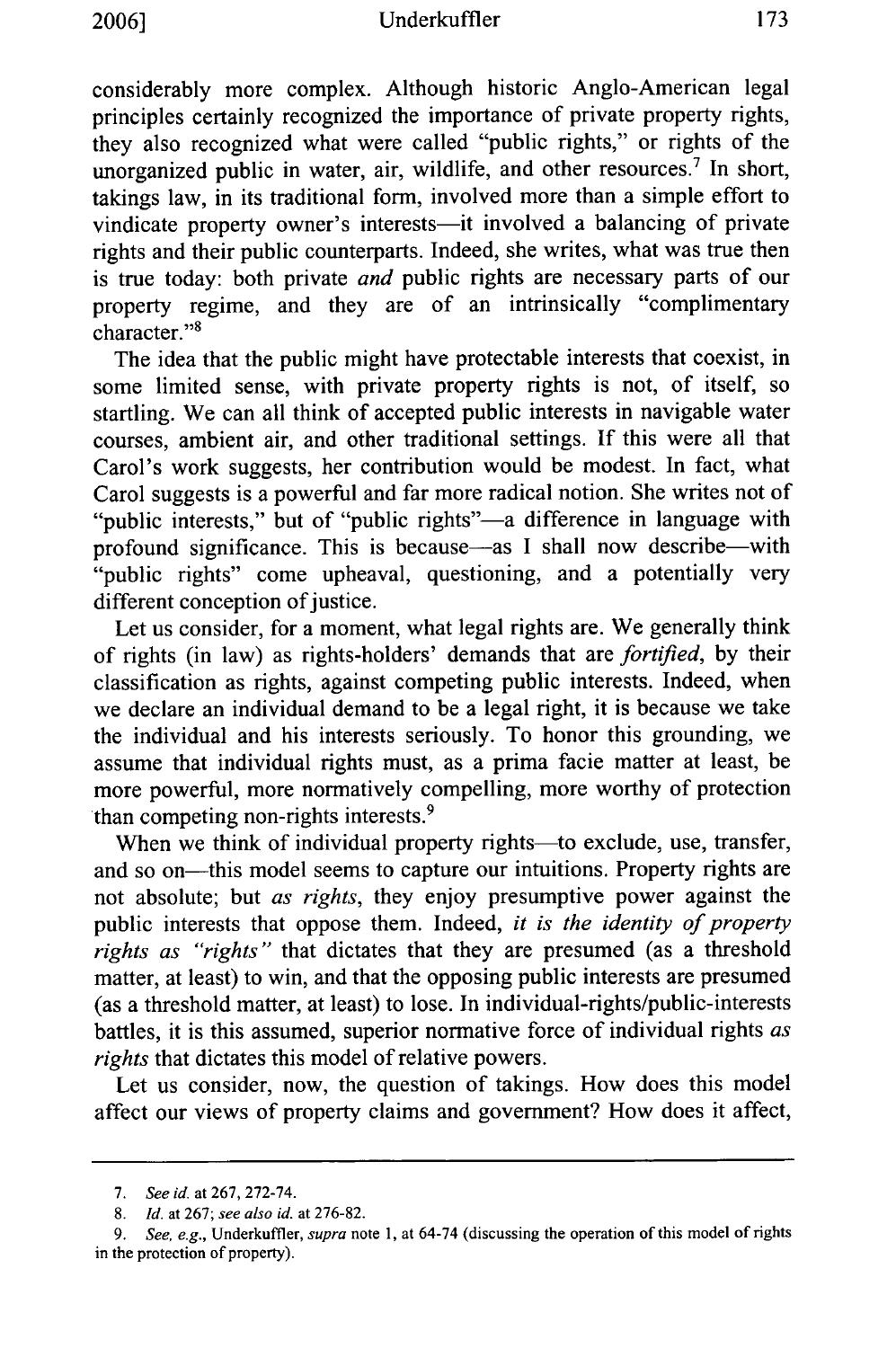considerably more complex. Although historic Anglo-American legal principles certainly recognized the importance of private property rights, they also recognized what were called "public rights," or rights of the unorganized public in water, air, wildlife, and other resources.<sup>7</sup> In short, takings law, in its traditional form, involved more than a simple effort to vindicate property owner's interests-it involved a balancing of private rights and their public counterparts. Indeed, she writes, what was true then is true today: both private *and* public rights are necessary parts of our property regime, and they are of an intrinsically "complimentary character."<sup>8</sup>

The idea that the public might have protectable interests that coexist, in some limited sense, with private property rights is not, of itself, so startling. We can all think of accepted public interests in navigable water courses, ambient air, and other traditional settings. If this were all that Carol's work suggests, her contribution would be modest. In fact, what Carol suggests is a powerful and far more radical notion. She writes not of "public interests," but of "public rights"-a difference in language with profound significance. This is because—as I shall now describe—with "public rights" come upheaval, questioning, and a potentially very different conception of justice.

Let us consider, for a moment, what legal rights are. We generally think of rights (in law) as rights-holders' demands that are *fortified,* by their classification as rights, against competing public interests. Indeed, when we declare an individual demand to be a legal right, it is because we take the individual and his interests seriously. To honor this grounding, we assume that individual rights must, as a prima facie matter at least, be more powerful, more normatively compelling, more worthy of protection than competing non-rights interests. <sup>9</sup>

When we think of individual property rights-to exclude, use, transfer, and so on-this model seems to capture our intuitions. Property rights are not absolute; but *as rights,* they enjoy presumptive power against the public interests that oppose them. Indeed, *it is the identity of property rights as "rights"* that dictates that they are presumed (as a threshold matter, at least) to win, and that the opposing public interests are presumed (as a threshold matter, at least) to lose. In individual-rights/public-interests battles, it is this assumed, superior normative force of individual rights *as rights* that dictates this model of relative powers.

Let us consider, now, the question of takings. How does this model affect our views of property claims and government? How does it affect,

*<sup>7.</sup> See id.* at 267, 272-74.

<sup>8.</sup> *Id.* at 267; *see also id.* at 276-82.

*<sup>9.</sup> See, e.g.,* Underkuffler, *supra* note 1, at 64-74 (discussing the operation of this model of rights in the protection of property).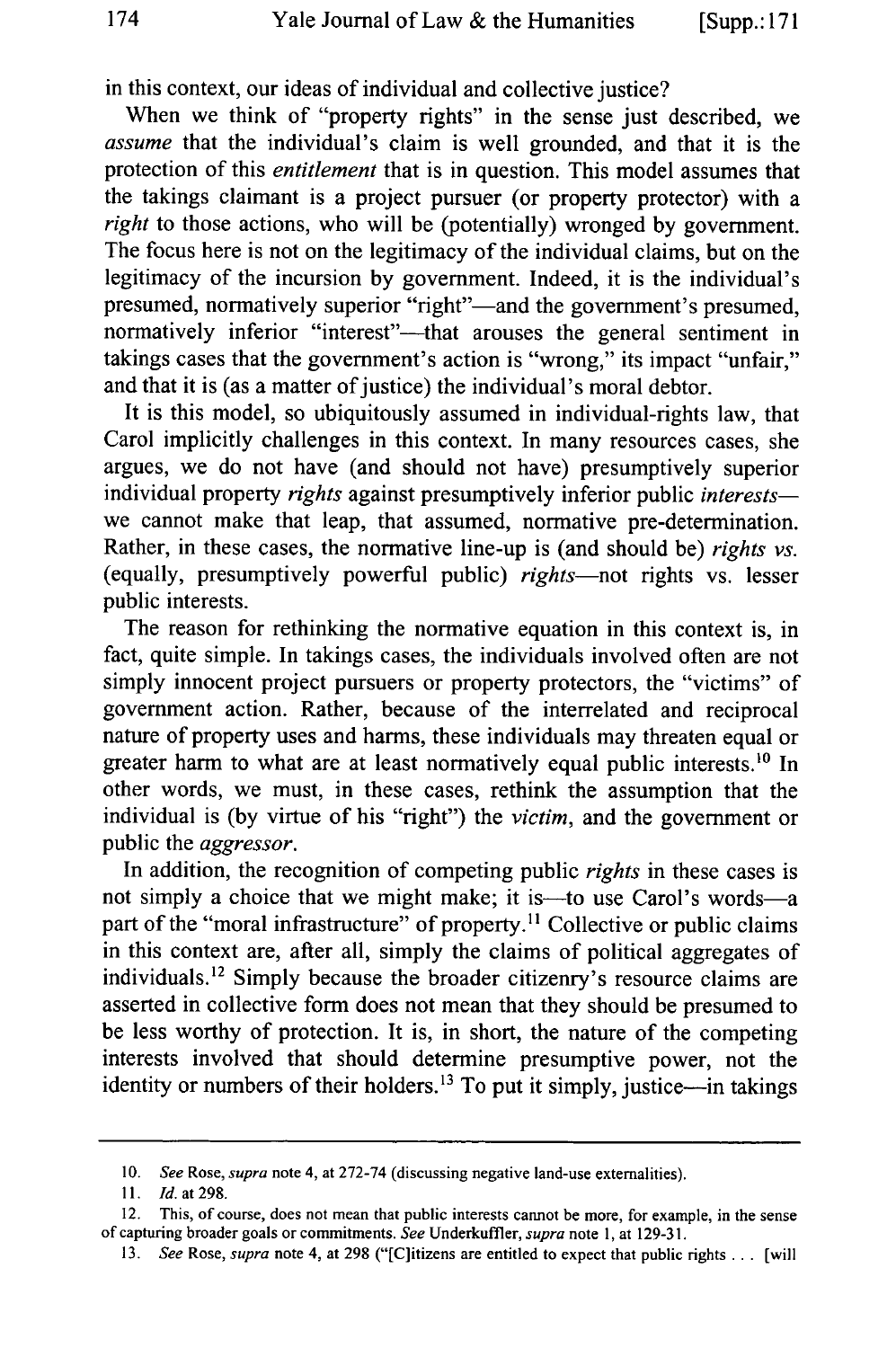in this context, our ideas of individual and collective justice?

When we think of "property rights" in the sense just described, we *assume* that the individual's claim is well grounded, and that it is the protection of this *entitlement* that is in question. This model assumes that the takings claimant is a project pursuer (or property protector) with a *right* to those actions, who will be (potentially) wronged by government. The focus here is not on the legitimacy of the individual claims, but on the legitimacy of the incursion by government. Indeed, it is the individual's presumed, normatively superior "right"—and the government's presumed, normatively inferior "interest"—that arouses the general sentiment in takings cases that the government's action is "wrong," its impact "unfair," and that it is (as a matter of justice) the individual's moral debtor.

It is this model, so ubiquitously assumed in individual-rights law, that Carol implicitly challenges in this context. In many resources cases, she argues, we do not have (and should not have) presumptively superior individual property *rights* against presumptively inferior public *interests*we cannot make that leap, that assumed, normative pre-determination. Rather, in these cases, the normative line-up is (and should be) *rights vs.* (equally, presumptively powerful public) *rights-not* rights vs. lesser public interests.

The reason for rethinking the normative equation in this context is, in fact, quite simple. In takings cases, the individuals involved often are not simply innocent project pursuers or property protectors, the "victims" of government action. Rather, because of the interrelated and reciprocal nature of property uses and harms, these individuals may threaten equal or greater harm to what are at least normatively equal public interests.<sup>10</sup> In other words, we must, in these cases, rethink the assumption that the individual is (by virtue of his "right") the *victim,* and the government or public the *aggressor.*

In addition, the recognition of competing public *rights* in these cases is not simply a choice that we might make; it is—to use Carol's words—a part of the "moral infrastructure" of property.<sup>11</sup> Collective or public claims in this context are, after all, simply the claims of political aggregates of individuals.'2 Simply because the broader citizenry's resource claims are asserted in collective form does not mean that they should be presumed to be less worthy of protection. It is, in short, the nature of the competing interests involved that should determine presumptive power, not the identity or numbers of their holders.<sup>13</sup> To put it simply, justice—in takings

*<sup>10.</sup> See* Rose, supra note 4, at 272-74 (discussing negative land-use externalities).

*<sup>11.</sup>* Id. at 298.

<sup>12.</sup> This, of course, does not mean that public interests cannot be more, for example, in the sense of capturing broader goals or commitments. *See* Underkuffler, *supra* note 1, at 129-31.

<sup>13.</sup> See Rose, supra note 4, at 298 ("[C]itizens are entitled to expect that public rights . . . [will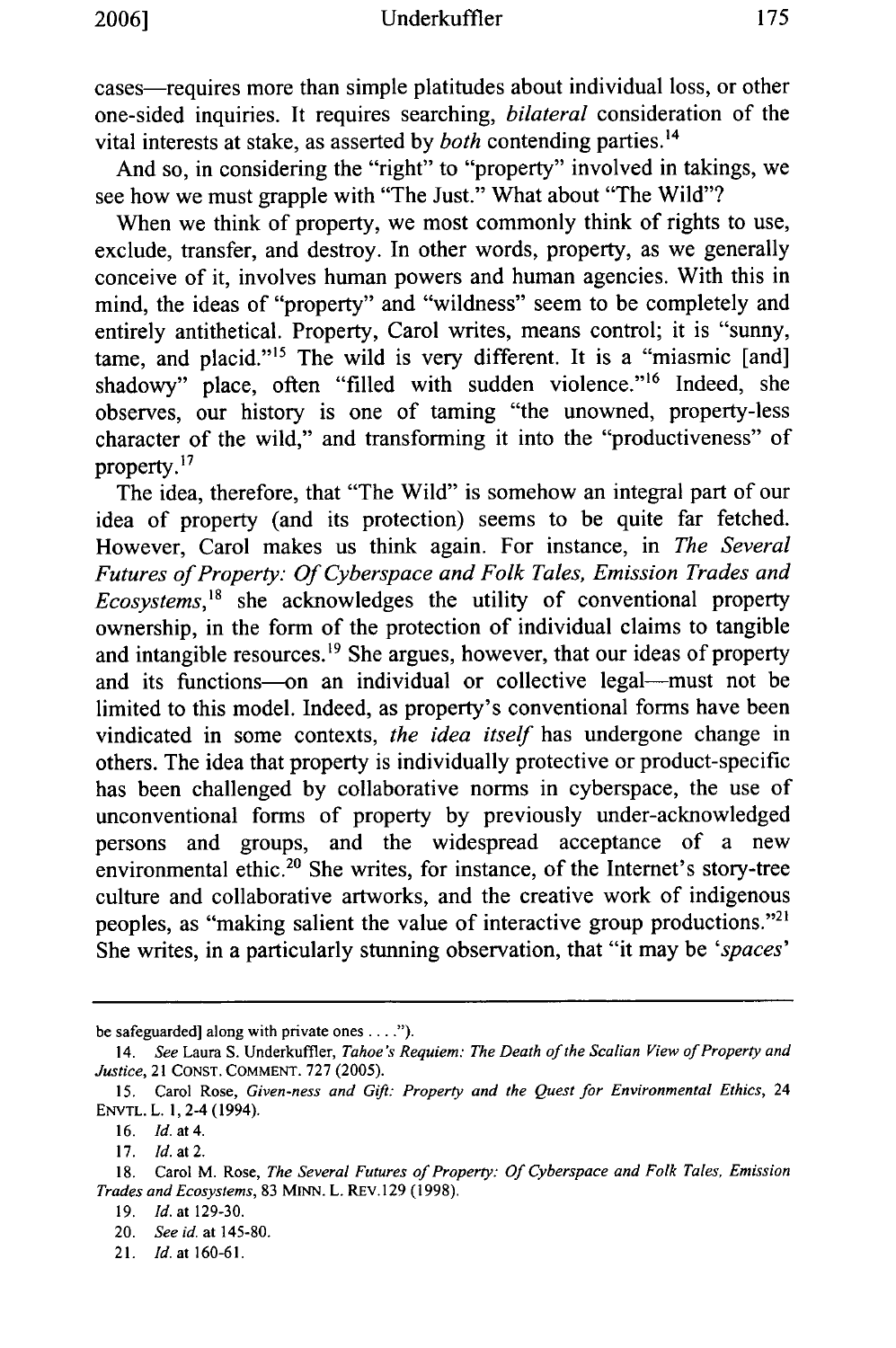cases—requires more than simple platitudes about individual loss, or other one-sided inquiries. It requires searching, *bilateral* consideration of the vital interests at stake, as asserted by *both* contending parties.<sup>14</sup>

And so, in considering the "right" to "property" involved in takings, we see how we must grapple with "The Just." What about "The Wild"?

When we think of property, we most commonly think of rights to use, exclude, transfer, and destroy. In other words, property, as we generally conceive of it, involves human powers and human agencies. With this in mind, the ideas of "property" and "wildness" seem to be completely and entirely antithetical. Property, Carol writes, means control; it is "sunny, tame, and placid."<sup>15</sup> The wild is very different. It is a "miasmic [and] shadowy" place, often "filled with sudden violence."<sup>16</sup> Indeed, she observes, our history is one of taming "the unowned, property-less character of the wild," and transforming it into the "productiveness" of property. $17$ 

The idea, therefore, that "The Wild" is somehow an integral part of our idea of property (and its protection) seems to be quite far fetched. However, Carol makes us think again. For instance, in *The Several Futures of Property: Of Cyberspace and Folk Tales, Emission Trades and Ecosystems,'8* she acknowledges the utility of conventional property ownership, in the form of the protection of individual claims to tangible and intangible resources.<sup>19</sup> She argues, however, that our ideas of property and its functions-on an individual or collective legal-must not be limited to this model. Indeed, as property's conventional forms have been vindicated in some contexts, *the idea itself* has undergone change in others. The idea that property is individually protective or product-specific has been challenged by collaborative norms in cyberspace, the use of unconventional forms of property by previously under-acknowledged persons and groups, and the widespread acceptance of a new environmental ethic.<sup>20</sup> She writes, for instance, of the Internet's story-tree culture and collaborative artworks, and the creative work of indigenous peoples, as "making salient the value of interactive group productions."21 She writes, in a particularly stunning observation, that "it may be *'spaces'*

be safeguarded] along with private ones **....").**

<sup>14.</sup> See Laura **S.** Underkuffier, *Tahoe's Requiem: The Death of the Scalian View of Property and Justice,* 21 CONST. COMMENT. 727 (2005).

**<sup>15.</sup>** Carol Rose, *Given-ness and* Gift: *Property and the Quest for Environmental Ethics,* <sup>24</sup> ENVTL. L. 1,2-4 (1994).

<sup>16.</sup> Id. at 4.

<sup>17.</sup> Id. at 2.

<sup>18.</sup> Carol M. Rose, *The Several Futures of Property: Of Cyberspace and Folk Tales, Emission Trades and Ecosystems,* 83 MINN. L. REv.129 (1998).

<sup>19.</sup> *Id.* at 129-30.

<sup>20.</sup> *See id.* at 145-80.

*<sup>21.</sup>* Id. at **160-61.**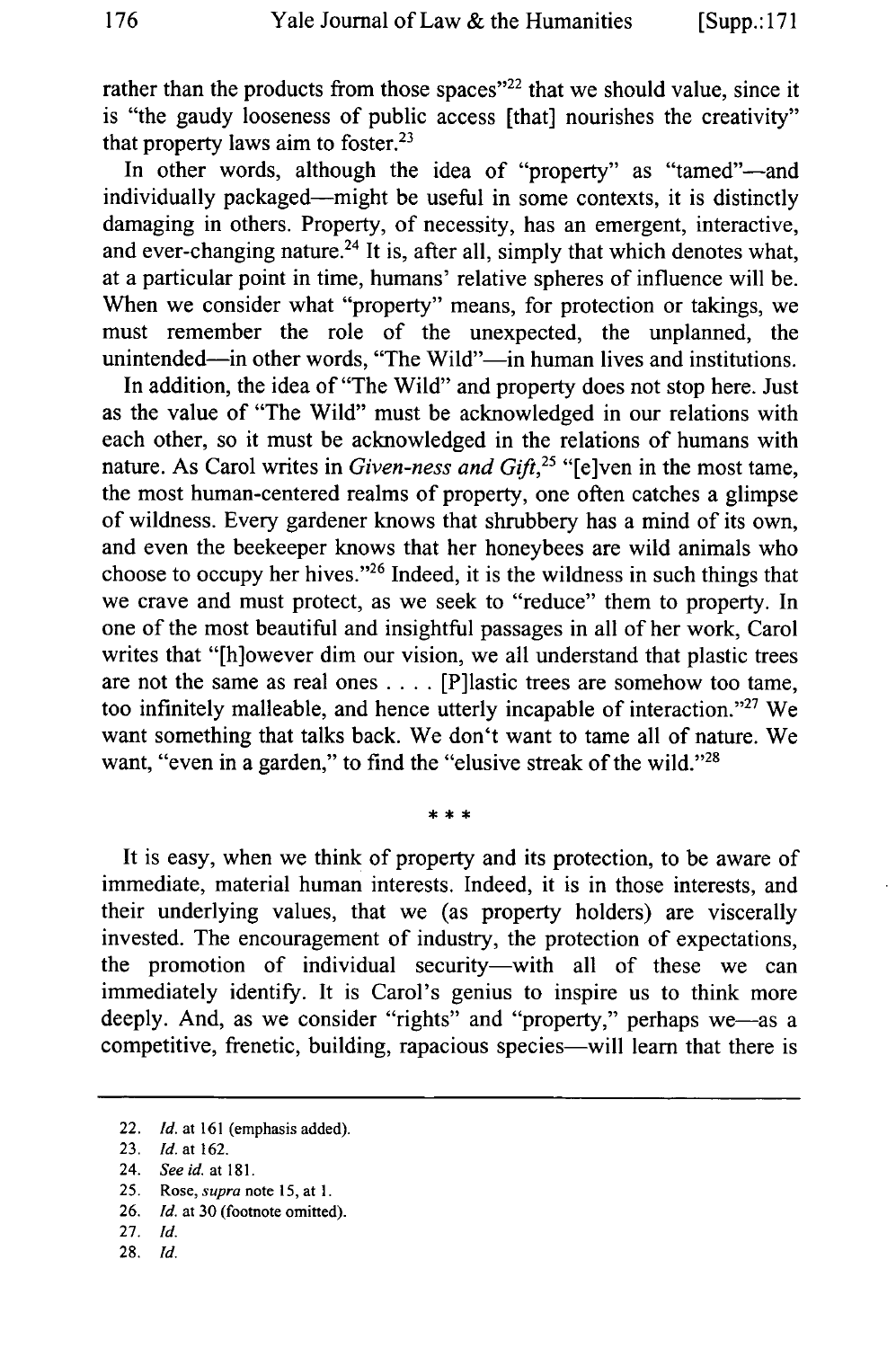rather than the products from those spaces"<sup>22</sup> that we should value, since it is "the gaudy looseness of public access [that] nourishes the creativity" that property laws aim to foster. $23$ 

In other words, although the idea of "property" as "tamed"-and individually packaged—might be useful in some contexts, it is distinctly damaging in others. Property, of necessity, has an emergent, interactive, and ever-changing nature.<sup>24</sup> It is, after all, simply that which denotes what, at a particular point in time, humans' relative spheres of influence will be. When we consider what "property" means, for protection or takings, we must remember the role of the unexpected, the unplanned, the unintended-in other words, "The Wild"-in human lives and institutions.

In addition, the idea of "The Wild" and property does not stop here. Just as the value of "The Wild" must be acknowledged in our relations with each other, so it must be acknowledged in the relations of humans with nature. As Carol writes in *Given-ness and Gift*<sup>25</sup> "[e]ven in the most tame, the most human-centered realms of property, one often catches a glimpse of wildness. Every gardener knows that shrubbery has a mind of its own, and even the beekeeper knows that her honeybees are wild animals who choose to occupy her hives."<sup>26</sup> Indeed, it is the wildness in such things that we crave and must protect, as we seek to "reduce" them to property. In one of the most beautiful and insightful passages in all of her work, Carol writes that "[h]owever dim our vision, we all understand that plastic trees are not the same as real ones .... [P]lastic trees are somehow too tame, too infinitely malleable, and hence utterly incapable of interaction."<sup>27</sup> We want something that talks back. We don't want to tame all of nature. We want, "even in a garden," to find the "elusive streak of the wild."<sup>28</sup>

It is easy, when we think of property and its protection, to be aware of immediate, material human interests. Indeed, it is in those interests, and their underlying values, that we (as property holders) are viscerally invested. The encouragement of industry, the protection of expectations, the promotion of individual security-with all of these we can immediately identify. It is Carol's genius to inspire us to think more deeply. And, as we consider "rights" and "property," perhaps we-as a competitive, frenetic, building, rapacious species-will learn that there is

- 27. *Id.*
- **28.** *Id.*

<sup>22.</sup> *Id.* at 161 (emphasis added).

<sup>23.</sup> Id. *at* 162.

<sup>24.</sup> *Seeid.* at 181.

<sup>25.</sup> *Rose, supra* note 15, at **1.**

<sup>26.</sup> *Id.* at 30 (footnote omitted).